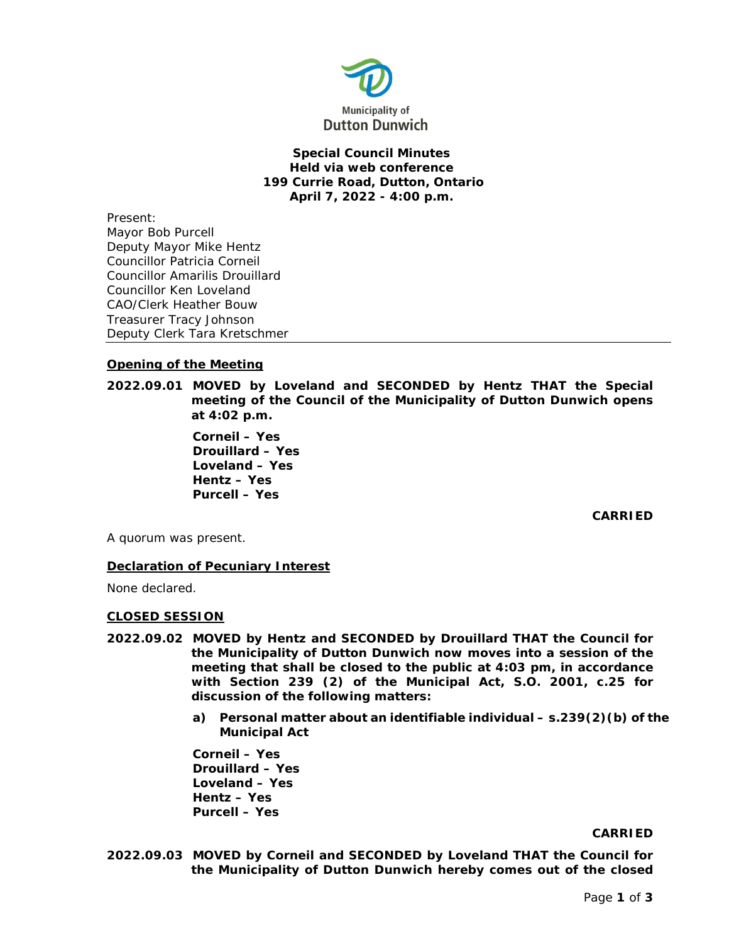

# **Special Council Minutes Held via web conference 199 Currie Road, Dutton, Ontario April 7, 2022 - 4:00 p.m.**

Present: Mayor Bob Purcell Deputy Mayor Mike Hentz Councillor Patricia Corneil Councillor Amarilis Drouillard Councillor Ken Loveland CAO/Clerk Heather Bouw Treasurer Tracy Johnson Deputy Clerk Tara Kretschmer

# **Opening of the Meeting**

**2022.09.01 MOVED by Loveland and SECONDED by Hentz THAT the Special meeting of the Council of the Municipality of Dutton Dunwich opens at 4:02 p.m.**

> **Corneil – Yes Drouillard – Yes Loveland – Yes Hentz – Yes Purcell – Yes**

> > **CARRIED**

A quorum was present.

# **Declaration of Pecuniary Interest**

None declared.

### **CLOSED SESSION**

- **2022.09.02 MOVED by Hentz and SECONDED by Drouillard THAT the Council for the Municipality of Dutton Dunwich now moves into a session of the meeting that shall be closed to the public at 4:03 pm, in accordance with Section 239 (2) of the Municipal Act, S.O. 2001, c.25 for discussion of the following matters:**
	- **a) Personal matter about an identifiable individual – s.239(2)(b) of the Municipal Act**

**Corneil – Yes Drouillard – Yes Loveland – Yes Hentz – Yes Purcell – Yes** 

#### **CARRIED**

**2022.09.03 MOVED by Corneil and SECONDED by Loveland THAT the Council for the Municipality of Dutton Dunwich hereby comes out of the closed**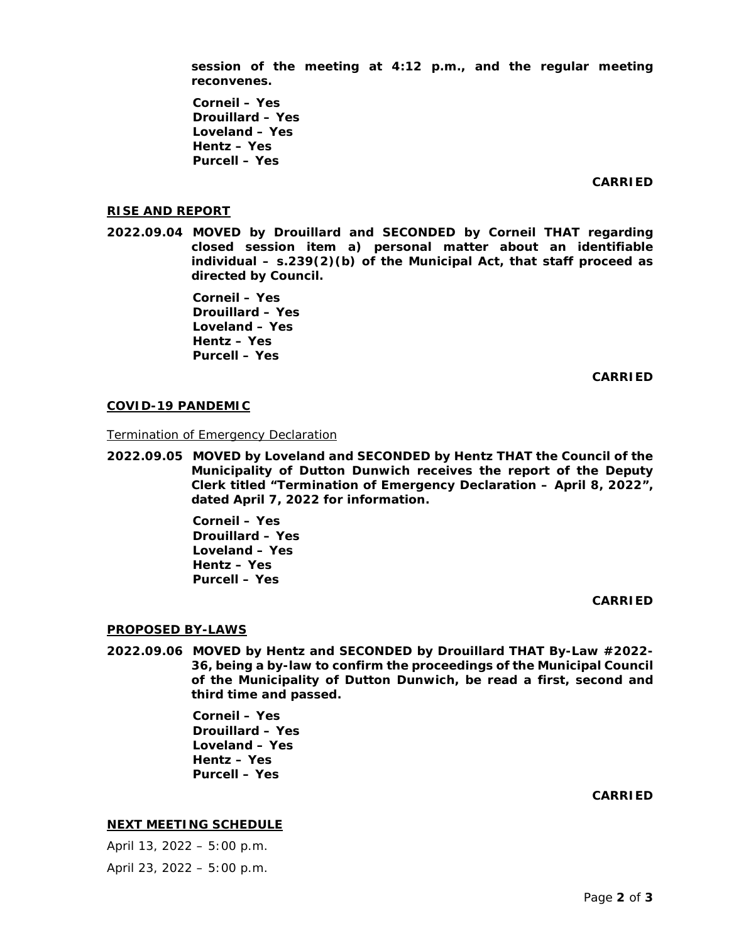**session of the meeting at 4:12 p.m., and the regular meeting reconvenes.**

**Corneil – Yes Drouillard – Yes Loveland – Yes Hentz – Yes Purcell – Yes** 

**CARRIED**

#### **RISE AND REPORT**

**2022.09.04 MOVED by Drouillard and SECONDED by Corneil THAT regarding closed session item a) personal matter about an identifiable individual – s.239(2)(b) of the Municipal Act, that staff proceed as directed by Council.** 

> **Corneil – Yes Drouillard – Yes Loveland – Yes Hentz – Yes Purcell – Yes**

> > **CARRIED**

#### **COVID-19 PANDEMIC**

Termination of Emergency Declaration

**2022.09.05 MOVED by Loveland and SECONDED by Hentz THAT the Council of the Municipality of Dutton Dunwich receives the report of the Deputy Clerk titled "Termination of Emergency Declaration – April 8, 2022", dated April 7, 2022 for information.** 

> **Corneil – Yes Drouillard – Yes Loveland – Yes Hentz – Yes Purcell – Yes**

#### **CARRIED**

#### **PROPOSED BY-LAWS**

**2022.09.06 MOVED by Hentz and SECONDED by Drouillard THAT By-Law #2022- 36, being a by-law to confirm the proceedings of the Municipal Council of the Municipality of Dutton Dunwich, be read a first, second and third time and passed.**

> **Corneil – Yes Drouillard – Yes Loveland – Yes Hentz – Yes Purcell – Yes**

> > **CARRIED**

#### **NEXT MEETING SCHEDULE**

April 13, 2022 – 5:00 p.m. April 23, 2022 – 5:00 p.m.